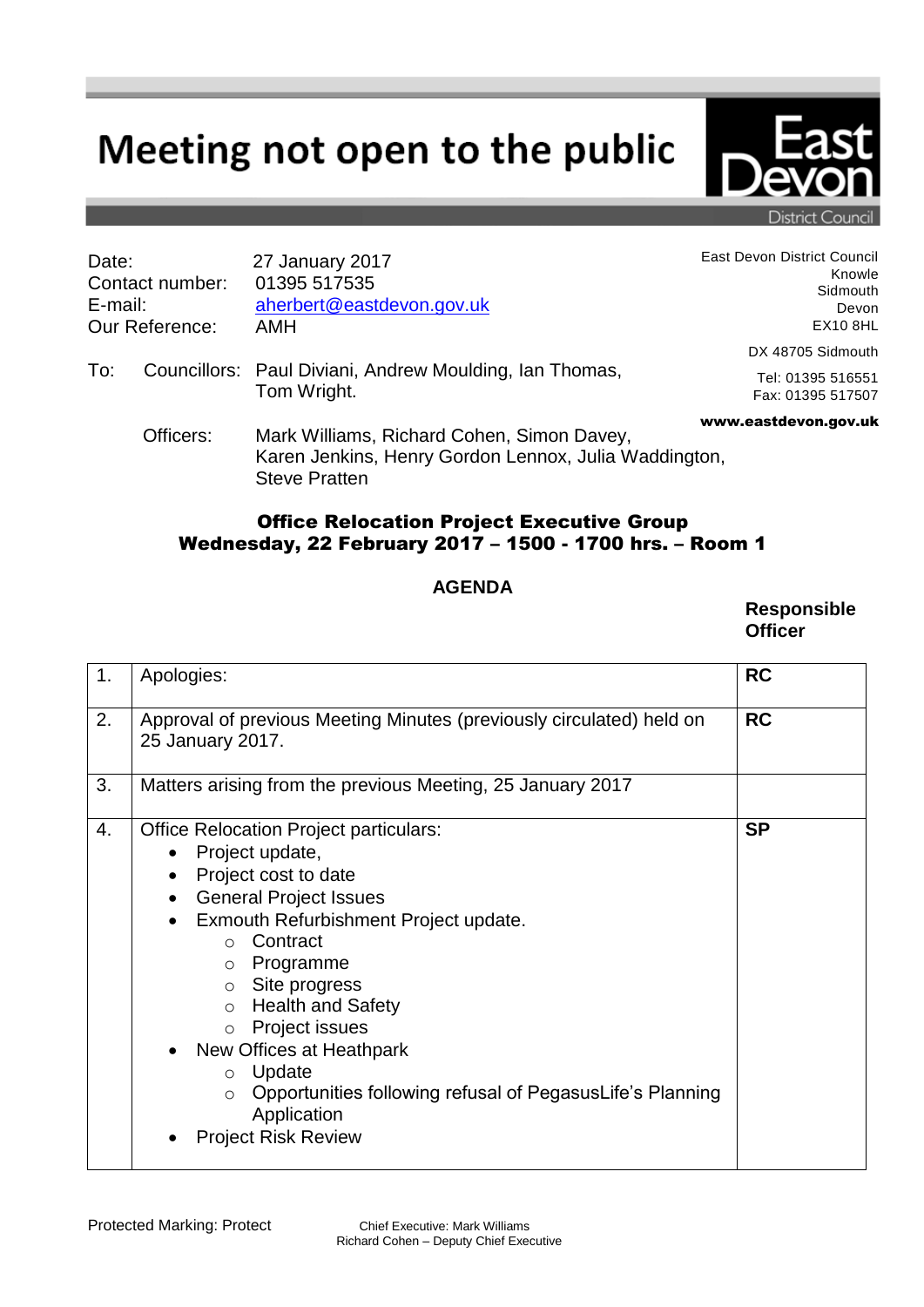## Meeting not open to the public



District Council

| Date:<br>Contact number:<br>E-mail:<br>Our Reference: |           | 27 January 2017<br>01395 517535<br>aherbert@eastdevon.gov.uk<br>AMH                                                         | East Devon District Council<br>Knowle<br>Sidmouth<br>Devon<br><b>EX10 8HL</b> |
|-------------------------------------------------------|-----------|-----------------------------------------------------------------------------------------------------------------------------|-------------------------------------------------------------------------------|
| To:                                                   |           | Councillors: Paul Diviani, Andrew Moulding, Ian Thomas,<br>Tom Wright.                                                      | DX 48705 Sidmouth<br>Tel: 01395 516551<br>Fax: 01395 517507                   |
|                                                       | Officers: | Mark Williams, Richard Cohen, Simon Davey,<br>Karen Jenkins, Henry Gordon Lennox, Julia Waddington,<br><b>Steve Pratten</b> | www.eastdevon.gov.uk                                                          |

## Office Relocation Project Executive Group Wednesday, 22 February 2017 – 1500 - 1700 hrs. – Room 1

## **AGENDA**

**Responsible Officer**

| 1. | Apologies:                                                                                                                                                                                                                                                                                                                                                                                                                                                             | <b>RC</b> |
|----|------------------------------------------------------------------------------------------------------------------------------------------------------------------------------------------------------------------------------------------------------------------------------------------------------------------------------------------------------------------------------------------------------------------------------------------------------------------------|-----------|
| 2. | Approval of previous Meeting Minutes (previously circulated) held on<br>25 January 2017.                                                                                                                                                                                                                                                                                                                                                                               | <b>RC</b> |
| 3. | Matters arising from the previous Meeting, 25 January 2017                                                                                                                                                                                                                                                                                                                                                                                                             |           |
| 4. | <b>Office Relocation Project particulars:</b><br>Project update,<br>Project cost to date<br><b>General Project Issues</b><br>٠<br>Exmouth Refurbishment Project update.<br>Contract<br>$\bigcirc$<br>Programme<br>$\circ$<br>Site progress<br>$\circ$<br>○ Health and Safety<br>o Project issues<br>New Offices at Heathpark<br>Update<br>$\circ$<br>Opportunities following refusal of PegasusLife's Planning<br>$\circ$<br>Application<br><b>Project Risk Review</b> | <b>SP</b> |